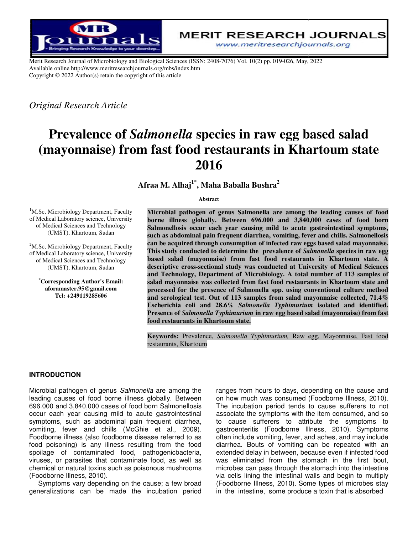

Merit Research Journal of Microbiology and Biological Sciences (ISSN: 2408-7076) Vol. 10(2) pp. 019-026, May, 2022 Available online http://www.meritresearchjournals.org/mbs/index.htm Copyright © 2022 Author(s) retain the copyright of this article

*Original Research Article* 

# Prevalence of *Salmonella* species in raw egg based salad (mayonnaise) from fast food restaurants in Khartoum state<br>2016

**Afraa M. Alhaj 1**\* **, Maha Baballa Bushra<sup>2</sup>**

**Abstract** 

<sup>1</sup>M.Sc, Microbiology Department, Faculty of Medical Laboratory science, University of Medical Sciences and Technology (UMST), Khartoum, Sudan

<sup>2</sup>M.Sc, Microbiology Department, Faculty of Medical Laboratory science, University of Medical Sciences and Technology (UMST), Khartoum, Sudan

**\*Corresponding Author's Email: aforamaster.95@gmail.com Tel: +249119285606** 

Microbial pathogen of genus Salmonella are among the leading causes of food borne illness globally. Between 696.000 and 3,840,000 cases of food born Salmonellosis occur each year causing mild to acute gastrointestinal symptoms, such as abdominal pain frequent diarrhea, vomiting, fever and chills. Salmonellosis can be acquired through consumption of infected raw eggs based salad mayonnaise. This study conducted to determine the prevalence of *Salmonella* species in raw egg based salad (mayonnaise) from fast food restaurants in Khartoum state. A descriptive cross-sectional study was conducted at University of Medical Sciences descriptive cross-sectional study was conducted at University of Medical Sciences and Technology, Department of Microbiology. A total number of 113 samples of salad mayonnaise was collected from fast food restaurants in Khartoum state and **processed for the presence of Salmonella spp. using conventional culture method processed the method**  and serological test. Out of 113 samples from salad mayonnaise collected, 71.4% **Escherichia coli and Escherichia coli and 28.6%** *Salmonella Typhimurium*  **isolated and identified.**  Presence of *Salmonella Typhimurium* in raw egg based salad (mayonnaise) from fast **food restaurants in Khartoum state.**

food restaurants in Khartoum state.<br>Keywords: Prevalence, *Salmonella Typhimurium*, Raw egg, Mayonnaise, Fast food restaurants, Khartoum restaurants,

# **INTRODUCTION**

Microbial pathogen of genus *Salmonella* are among the leading causes of food borne illness globally. Between 696.000 and 3,840,000 cases of food born Salmonellosis occur each year causing mild to acute gastrointestinal symptoms, such as abdominal pain frequent diarrhea, vomiting, fever and chills (McGhie et al., 2009) Foodborne illness (also foodborne disease referred to as food poisoning) is any illness resulting from the food food poisoning) is any illness resulting from the food<br>spoilage of contaminated food, pathogenicbacteria, viruses, or parasites that contaminate food, as well as chemical or natural toxins such as poisonous mushrooms (Foodborne Illness, 2010). leading causes of food borne illness globally. Between<br>696.000 and 3,840,000 cases of food born Salmonellosis<br>occur each year causing mild to acute gastrointestinal<br>symptoms, such as abdominal pain frequent diarrhea,<br>vomit

Symptoms vary depending on the cause; a few broad generalizations can be made the incubation period

of genus *Salmonella* are among the ranges from hours to days, depending on the cause and food borne illness globally. Between on how much was consumed (Foodborne Illness, 2010). The incubation period tends to cause suffer on how much was consumed (Foodborne Illness, 2010). The incubation period tends to cause sufferers to not associate the symptoms with the item consumed, and so to cause sufferers to attribute the symptoms to gastroenteritis (Foodborne Illness, 2010). often include vomiting, fever, and aches, and may include diarrhea. Bouts of vomiting can be repeated with an extended delay in between, because even if infected food was eliminated from the stomach in the first bout, microbes can pass through the stomach into the intestine via cells lining the intestinal walls and begin to multiply (Foodborne Illness, 2010). Some types of microbes stay in the intestine, some produce a ranges from hours to days, depending on the cause and<br>on how much was consumed (Foodborne Illness, 2010).<br>The incubation period tends to cause sufferers to not<br>associate the symptoms with the item consumed, and so<br>to cause often include vomiting, fever, and aches, and may include<br>diarrhea. Bouts of vomiting can be repeated with an<br>extended delay in between, because even if infected food<br>was eliminated from the stomach in the first bout,<br>micr walls and begin to multipl<br>ome types of microbes sta<br>ce a toxin that is absorbed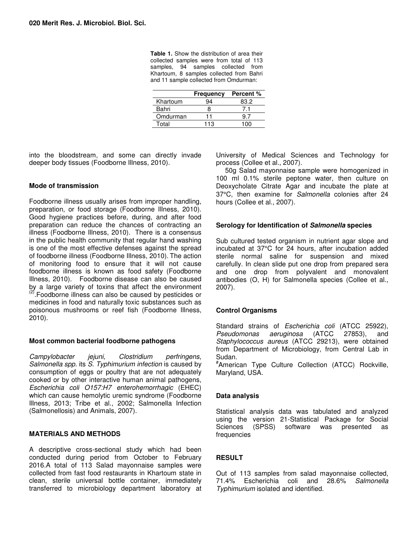**Table 1.** Show the distribution of area their collected samples were from total of 113 samples, 94 samples collected from Khartoum, 8 samples collected from Bahri and 11 sample collected from Omdurman:

|          | <b>Frequency</b> | <b>Percent</b> % |
|----------|------------------|------------------|
| Khartoum |                  | 83.2             |
| Bahri    |                  |                  |
| Omdurman | 11               |                  |
| Total    | 113              |                  |

into the bloodstream, and some can directly invade deeper body tissues (Foodborne Illness, 2010).

### **Mode of transmission**

Foodborne illness usually arises from improper handling, preparation, or food storage (Foodborne Illness, 2010). Good hygiene practices before, during, and after food preparation can reduce the chances of contracting an illness (Foodborne Illness, 2010). There is a consensus in the public health community that regular hand washing is one of the most effective defenses against the spread of foodborne illness (Foodborne Illness, 2010). The action of monitoring food to ensure that it will not cause foodborne illness is known as food safety (Foodborne Illness, 2010). Foodborne disease can also be caused by a large variety of toxins that affect the environment (2).Foodborne illness can also be caused by pesticides or medicines in food and naturally toxic substances such as poisonous mushrooms or reef fish (Foodborne Illness, 2010).

#### **Most common bacterial foodborne pathogens**

*Campylobacter jejuni, Clostridium perfringens*, *Salmonella spp.* its *S. Typhimurium infection* is caused by consumption of eggs or poultry that are not adequately cooked or by other interactive human animal pathogens, *Escherichia coli O157:H7 enterohemorrhagic* (EHEC) which can cause hemolytic uremic syndrome (Foodborne Illness, 2013; Tribe et al., 2002; Salmonella Infection (Salmonellosis) and Animals, 2007).

# **MATERIALS AND METHODS**

A descriptive cross-sectional study which had been conducted during period from October to February 2016.A total of 113 Salad mayonnaise samples were collected from fast food restaurants in Khartoum state in clean, sterile universal bottle container, immediately transferred to microbiology department laboratory at University of Medical Sciences and Technology for process (Collee et al., 2007).

50g Salad mayonnaise sample were homogenized in 100 ml 0.1% sterile peptone water, then culture on Deoxycholate Citrate Agar and incubate the plate at 37°C, then examine for *Salmonella* colonies after 24 hours (Collee et al., 2007).

### **Serology for Identification of Salmonella species**

Sub cultured tested organism in nutrient agar slope and incubated at 37°C for 24 hours, after incubation added sterile normal saline for suspension and mixed carefully. In clean slide put one drop from prepared sera and one drop from polyvalent and monovalent antibodies (O, H) for Salmonella species (Collee et al., 2007).

# **Control Organisms**

Standard strains of *Escherichia coli* (ATCC 25922), *Pseudomonas aeruginosa* (ATCC 27853), and *Staphylococcus aureus* (ATCC 29213), were obtained from Department of Microbiology, from Central Lab in Sudan.

# American Type Culture Collection (ATCC) Rockville, Maryland, USA.

# **Data analysis**

Statistical analysis data was tabulated and analyzed using the version 21-Statistical Package for Social Sciences (SPSS) software was presented as frequencies

# **RESULT**

Out of 113 samples from salad mayonnaise collected, 71.4% Escherichia coli and 28.6% *Salmonella Typhimurium* isolated and identified.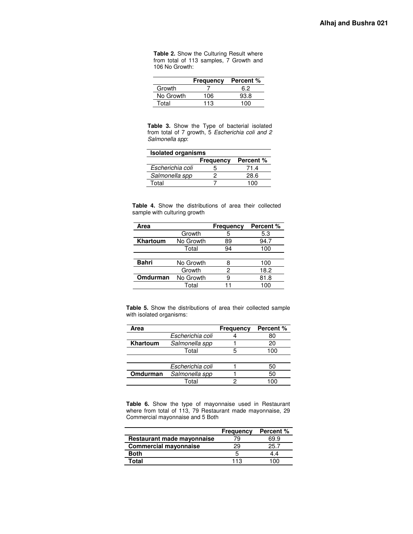**Table 2.** Show the Culturing Result where from total of 113 samples, 7 Growth and 106 No Growth:

|           | <b>Frequency</b> | <b>Percent %</b> |
|-----------|------------------|------------------|
| Growth    |                  | 6.2              |
| No Growth | 106              | 93.8             |
| Total     | 113              | 1 በበ             |

**Table 3.** Show the Type of bacterial isolated from total of 7 growth, 5 *Escherichia coli and 2 Salmonella spp*:

| <b>Isolated organisms</b> |                  |           |  |
|---------------------------|------------------|-----------|--|
|                           | <b>Frequency</b> | Percent % |  |
| Escherichia coli          |                  | 71.4      |  |
| Salmonella spp            |                  | 28.6      |  |
| Total                     |                  | 100       |  |

**Table 4.** Show the distributions of area their collected sample with culturing growth

| Area            |           | <b>Frequency</b> | Percent % |
|-----------------|-----------|------------------|-----------|
|                 | Growth    | 5                | 5.3       |
| <b>Khartoum</b> | No Growth | 89               | 94.7      |
|                 | Total     | 94               | 100       |
|                 |           |                  |           |
| <b>Bahri</b>    | No Growth |                  | 100       |
|                 | Growth    | 2                | 18.2      |
| Omdurman        | No Growth | 9                | 81.8      |
|                 | Total     |                  | 100       |

**Table 5.** Show the distributions of area their collected sample with isolated organisms:

| Area     |                  | <b>Frequency</b> | Percent % |
|----------|------------------|------------------|-----------|
|          | Escherichia coli |                  | 80        |
| Khartoum | Salmonella spp   |                  | 20        |
|          | Total            |                  | 100       |
|          |                  |                  |           |
|          | Escherichia coli |                  | 50        |
| Omdurman | Salmonella spp   |                  | 50        |
|          | Total            |                  |           |

**Table 6.** Show the type of mayonnaise used in Restaurant where from total of 113, 79 Restaurant made mayonnaise, 29 Commercial mayonnaise and 5 Both

|                              | <b>Frequency</b> | Percent % |
|------------------------------|------------------|-----------|
| Restaurant made mayonnaise   | 79               | 69.9      |
| <b>Commercial mayonnaise</b> | 29               | 25.7      |
| <b>Both</b>                  |                  | 44        |
| <b>Total</b>                 | 113              | 1 በበ      |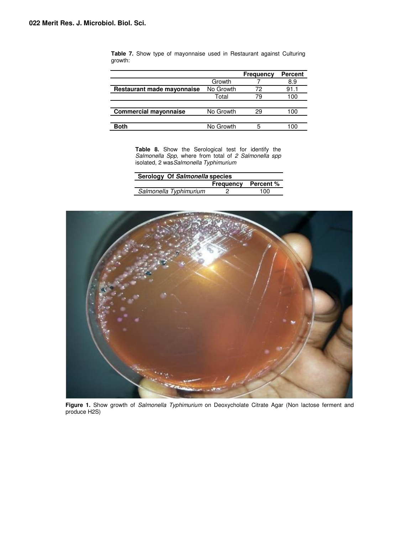|                              |           | Frequency | <b>Percent</b> |
|------------------------------|-----------|-----------|----------------|
|                              | Growth    |           | 8.9            |
| Restaurant made mayonnaise   | No Growth | 72        | 91.1           |
|                              | Total     | 79        | 100            |
|                              |           |           |                |
| <b>Commercial mayonnaise</b> | No Growth | 29        | 100            |
|                              |           |           |                |
| <b>Both</b>                  | No Growth | b         |                |

**Table 7.** Show type of mayonnaise used in Restaurant against Culturing growth:

> **Table 8.** Show the Serological test for identify the *Salmonella Spp,* where from total of *2 Salmonella spp*  isolated, 2 was*Salmonella Typhimurium*

| Serology Of Salmonella species |                            |     |  |
|--------------------------------|----------------------------|-----|--|
|                                | <b>Frequency Percent %</b> |     |  |
| Salmonella Typhimurium         |                            | 100 |  |



**Figure 1.** Show growth of *Salmonella Typhimurium* on Deoxycholate Citrate Agar (Non lactose ferment and produce H2S)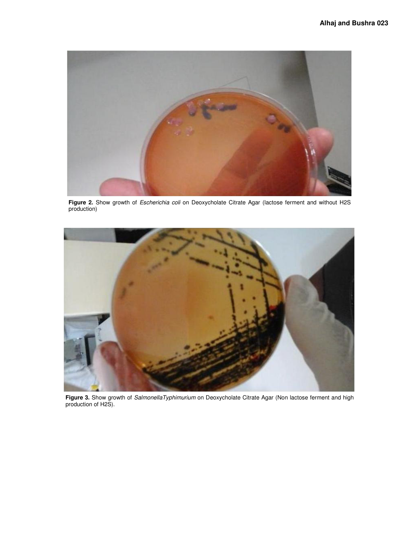

**Figure 2.** Show growth of *Escherichia coli* on Deoxycholate Citrate Agar (lactose ferment and without H2S production)



**Figure 3.** Show growth of *SalmonellaTyphimurium* on Deoxycholate Citrate Agar (Non lactose ferment and high production of H2S).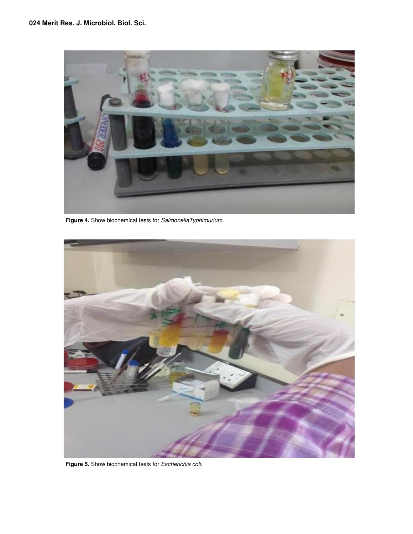

**Figure 4.** Show biochemical tests for *SalmonellaTyphimurium.* 



**Figure 5.** Show biochemical tests for *Escherichia coli.*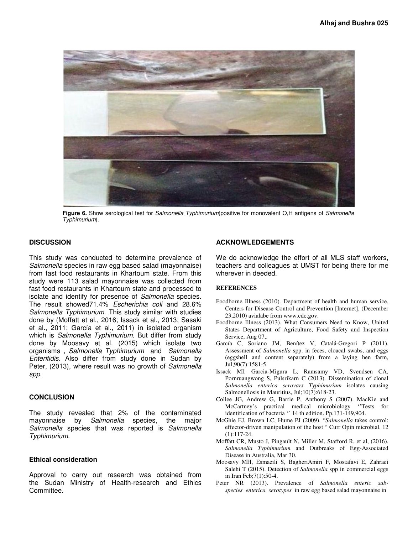

**Figure 6.** Show serological test for *Salmonella Typhimurium*(positive for monovalent O,H antigens of *Salmonella Typhimurium*).

#### **DISCUSSION**

This study was conducted to determine prevalence of *Salmonella* species in raw egg based salad (mayonnaise) from fast food restaurants in Khartoum state. From this study were 113 salad mayonnaise was collected from fast food restaurants in Khartoum state and processed to isolate and identify for presence of *Salmonella* species. The result showed71.4% *Escherichia coli* and 28.6% *Salmonella Typhimurium.* This study similar with studies done by (Moffatt et al., 2016; Issack et al., 2013; Sasaki et al., 2011; García et al., 2011) in isolated organism which is *Salmonella Typhimurium*. But differ from study done by Moosavy et al. (2015) which isolate two organisms , *Salmonella Typhimurium* and *Salmonella Enteritidis*. Also differ from study done in Sudan by Peter, (2013), where result was no growth of *Salmonella spp*.

#### **CONCLUSION**

The study revealed that 2% of the contaminated mayonnaise by *Salmonella* species, the major *Salmonella* species that was reported is *Salmonella Typhimurium*.

#### **Ethical consideration**

Approval to carry out research was obtained from the Sudan Ministry of Health-research and Ethics Committee.

#### **ACKNOWLEDGEMENTS**

We do acknowledge the effort of all MLS staff workers, teachers and colleagues at UMST for being there for me wherever in deeded.

#### **REFERENCES**

- Foodborne Illness (2010). Department of health and human service, Centers for Disease Control and Prevention [Internet], (December 23,2010) avialabe from www.cdc.gov.
- Foodborne Illness (2013). What Consumers Need to Know, United States Department of Agriculture, Food Safety and Inspection Service, Aug 07,.
- García C, Soriano JM, Benítez V, Catalá-Gregori P (2011). Assessment of *Salmonella* spp. in feces, cloacal swabs, and eggs (eggshell and content separately) from a laying hen farm, Jul;90(7):1581-5.
- Issack MI, Garcia-Migura L, Ramsamy VD, Svendsen CA, Pornruangwong S, Pulsrikarn C (2013). Dissemination of clonal *Salmonella enterica serovars Typhimurium* isolates causing Salmonellosis in Mauritius, Jul;10(7):618-23.
- Collee JG, Andrew G, Barrie P, Anthony S (2007). MacKie and McCartney's practical medical microbiology ''Tests for identification of bacteria '' 14 th edition. Pp.131-149,904.
- McGhie EJ, Brown LC, Hume PJ (2009). "*Salmonella* takes control: effector-driven manipulation of the host " Curr Opin microbial. 12 (1):117-24.
- Moffatt CR, Musto J, Pingault N, Miller M, Stafford R, et al, (2016). *Salmonella Typhimurium* and Outbreaks of Egg-Associated Disease in Australia, Mar 30.
- Moosavy MH, Esmaeili S, BagheriAmiri F, Mostafavi E, Zahraei Salehi T (2015). Detection of *Salmonella* spp in commercial eggs in Iran Feb;7(1):50-4.
- Peter NR (2013). Prevalence of *Salmonella enteric subspecies enterica serotypes* in raw egg based salad mayonnaise in